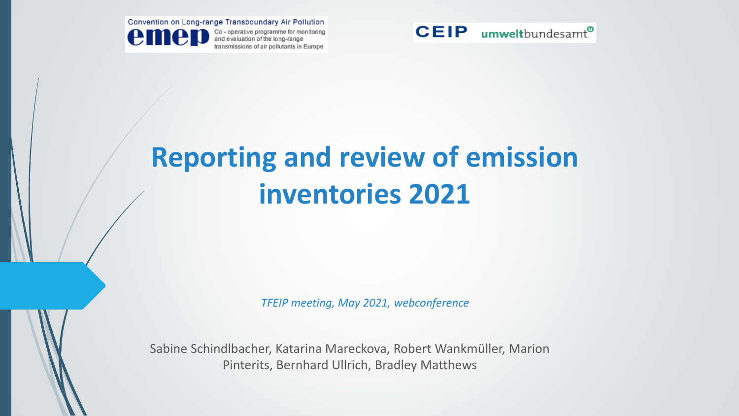



# **Reporting and review of emission inventories 2021**

*TFEIP meeting, May 2021, webconference*

Sabine Schindlbacher, Katarina Mareckova, Robert Wankmüller, Marion Pinterits, Bernhard Ullrich, Bradley Matthews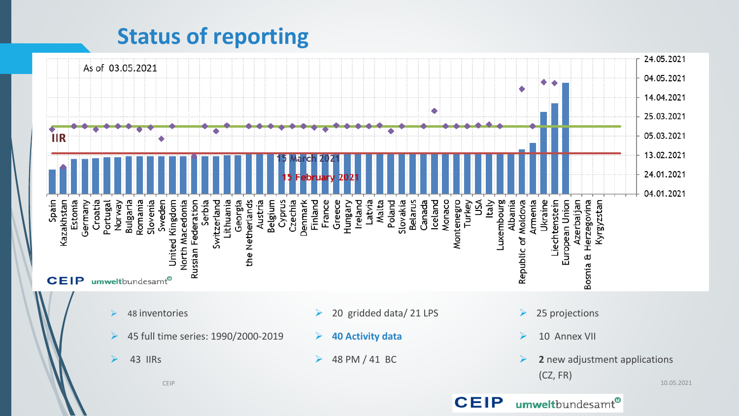## **Status of reporting**

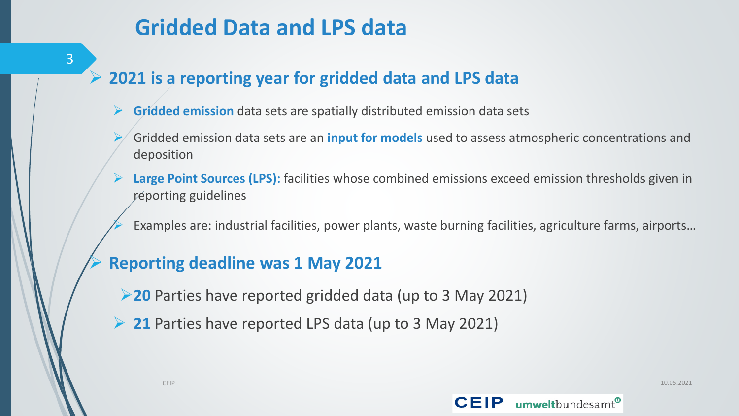## **Gridded Data and LPS data**

- ➢ **2021 is a reporting year for gridded data and LPS data**
	- ➢ **Gridded emission** data sets are spatially distributed emission data sets
	- ➢ Gridded emission data sets are an **input for models** used to assess atmospheric concentrations and deposition
	- ➢ **Large Point Sources (LPS):** facilities whose combined emissions exceed emission thresholds given in reporting guidelines
		- Examples are: industrial facilities, power plants, waste burning facilities, agriculture farms, airports...

#### ➢ **Reporting deadline was 1 May 2021**

- ➢**20** Parties have reported gridded data (up to 3 May 2021)
- ➢ **21** Parties have reported LPS data (up to 3 May 2021)



3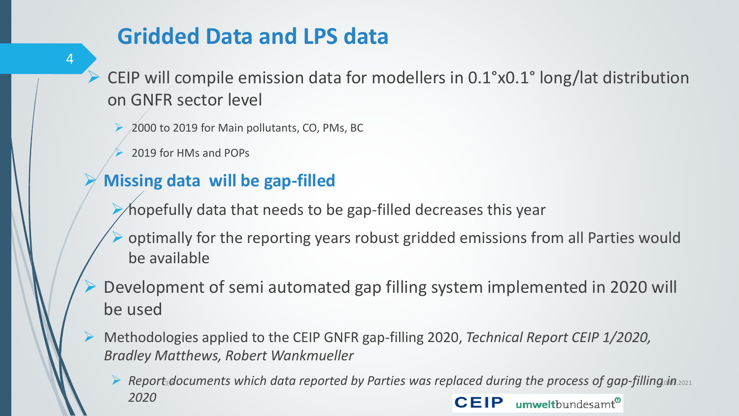## **Gridded Data and LPS data**

4

➢ CEIP will compile emission data for modellers in 0.1°x0.1° long/lat distribution on GNFR sector level

- ➢ 2000 to 2019 for Main pollutants, CO, PMs, BC
- ➢ 2019 for HMs and POPs

#### ➢ **Missing data will be gap-filled**

- hopefully data that needs to be gap-filled decreases this year
- ➢ optimally for the reporting years robust gridded emissions from all Parties would be available
- ➢ Development of semi automated gap filling system implemented in 2020 will be used
- ➢ Methodologies applied to the CEIP GNFR gap-filling 2020, *Technical Report CEIP 1/2020, Bradley Matthews, Robert Wankmueller*
	- ▶ Report documents which data reported by Parties was replaced during the process of gap-filling *in* 2021 *2020*umweltbundesamt® **CEIP**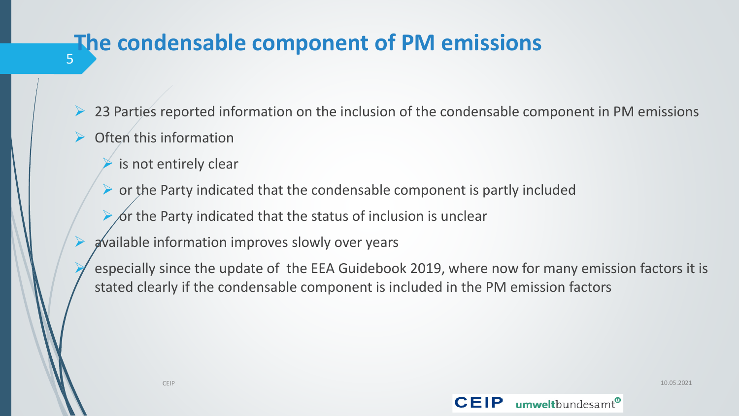#### 5 **The condensable component of PM emissions**

- $\triangleright$  23 Parties reported information on the inclusion of the condensable component in PM emissions
- ➢ Often this information
	- is not entirely clear
	- $\triangleright$  or the Party indicated that the condensable component is partly included
	- $\chi$  or the Party indicated that the status of inclusion is unclear
	- ➢ available information improves slowly over years
	- ➢ especially since the update of the EEA Guidebook 2019, where now for many emission factors it is stated clearly if the condensable component is included in the PM emission factors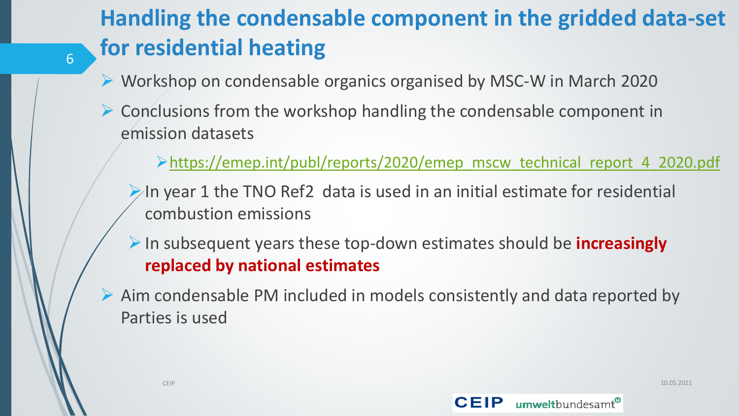## **Handling the condensable component in the gridded data-set for residential heating**

- ➢ Workshop on condensable organics organised by MSC-W in March 2020
- $\triangleright$  Conclusions from the workshop handling the condensable component in emission datasets

➢[https://emep.int/publ/reports/2020/emep\\_mscw\\_technical\\_report\\_4\\_2020.pdf](https://emep.int/publ/reports/2020/emep_mscw_technical_report_4_2020.pdf)

 $\triangleright$  In year 1 the TNO Ref2 data is used in an initial estimate for residential combustion emissions

➢In subsequent years these top-down estimates should be **increasingly replaced by national estimates**

➢ Aim condensable PM included in models consistently and data reported by Parties is used



6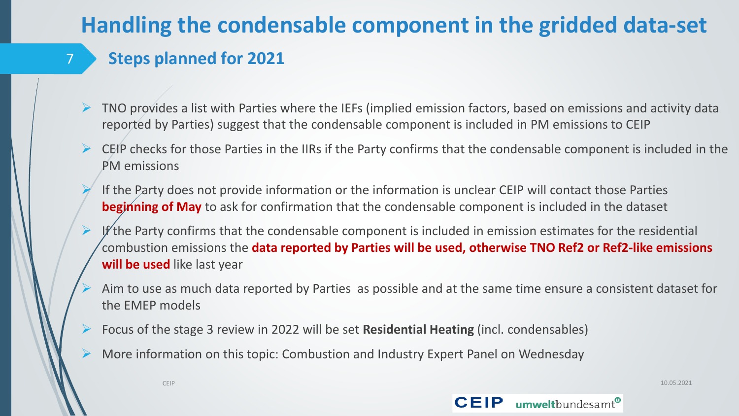## **Handling the condensable component in the gridded data-set**

#### **Steps planned for 2021**

7

- ➢ TNO provides a list with Parties where the IEFs (implied emission factors, based on emissions and activity data reported by Parties) suggest that the condensable component is included in PM emissions to CEIP
- $\triangleright$  CEIP checks for those Parties in the IIRs if the Party confirms that the condensable component is included in the PM emissions
- ➢ If the Party does not provide information or the information is unclear CEIP will contact those Parties **beginning of May** to ask for confirmation that the condensable component is included in the dataset
- If the Party confirms that the condensable component is included in emission estimates for the residential combustion emissions the **data reported by Parties will be used, otherwise TNO Ref2 or Ref2-like emissions will be used** like last year
- ➢ Aim to use as much data reported by Parties as possible and at the same time ensure a consistent dataset for the EMEP models
- ➢ Focus of the stage 3 review in 2022 will be set **Residential Heating** (incl. condensables)
- ➢ More information on this topic: Combustion and Industry Expert Panel on Wednesday



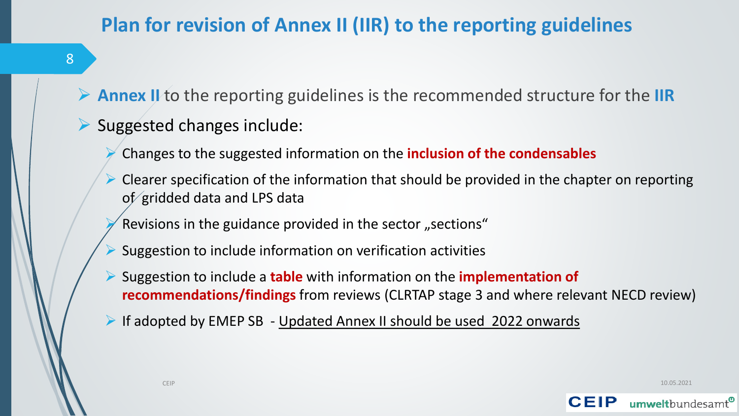### **Plan for revision of Annex II (IIR) to the reporting guidelines**

8

➢ **Annex II** to the reporting guidelines is the recommended structure for the **IIR**

#### ➢ Suggested changes include:

- ➢ Changes to the suggested information on the **inclusion of the condensables**
- $\triangleright$  Clearer specification of the information that should be provided in the chapter on reporting of gridded data and LPS data
- Revisions in the guidance provided in the sector "sections"
- ➢ Suggestion to include information on verification activities
- ➢ Suggestion to include a **table** with information on the **implementation of recommendations/findings** from reviews (CLRTAP stage 3 and where relevant NECD review)
- ➢ If adopted by EMEP SB Updated Annex II should be used 2022 onwards

CEIP 10.05.2021

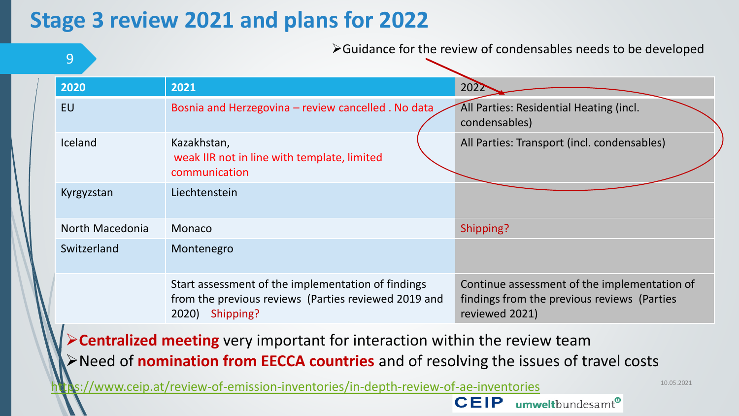## **Stage 3 review 2021 and plans for 2022**

| 9                                                                                                                                                                                  |                                                                                                                               | $\triangleright$ Guidance for the review of condensables needs to be developed                                |  |  |  |  |
|------------------------------------------------------------------------------------------------------------------------------------------------------------------------------------|-------------------------------------------------------------------------------------------------------------------------------|---------------------------------------------------------------------------------------------------------------|--|--|--|--|
| 2020                                                                                                                                                                               | 2021                                                                                                                          | 2022                                                                                                          |  |  |  |  |
| <b>EU</b>                                                                                                                                                                          | Bosnia and Herzegovina - review cancelled . No data                                                                           | All Parties: Residential Heating (incl.<br>condensables)                                                      |  |  |  |  |
| Iceland                                                                                                                                                                            | Kazakhstan,<br>weak IIR not in line with template, limited<br>communication                                                   | All Parties: Transport (incl. condensables)                                                                   |  |  |  |  |
| Kyrgyzstan                                                                                                                                                                         | Liechtenstein                                                                                                                 |                                                                                                               |  |  |  |  |
| North Macedonia                                                                                                                                                                    | Monaco                                                                                                                        | Shipping?                                                                                                     |  |  |  |  |
| Switzerland                                                                                                                                                                        | Montenegro                                                                                                                    |                                                                                                               |  |  |  |  |
|                                                                                                                                                                                    | Start assessment of the implementation of findings<br>from the previous reviews (Parties reviewed 2019 and<br>2020) Shipping? | Continue assessment of the implementation of<br>findings from the previous reviews (Parties<br>reviewed 2021) |  |  |  |  |
| $\triangleright$ Centralized meeting very important for interaction within the review team<br>>Need of nomination from EECCA countries and of resolving the issues of travel costs |                                                                                                                               |                                                                                                               |  |  |  |  |
|                                                                                                                                                                                    | Ns://www.ceip.at/review-of-emission-inventories/in-depth-review-of-ae-inventories                                             | 10.05.2021                                                                                                    |  |  |  |  |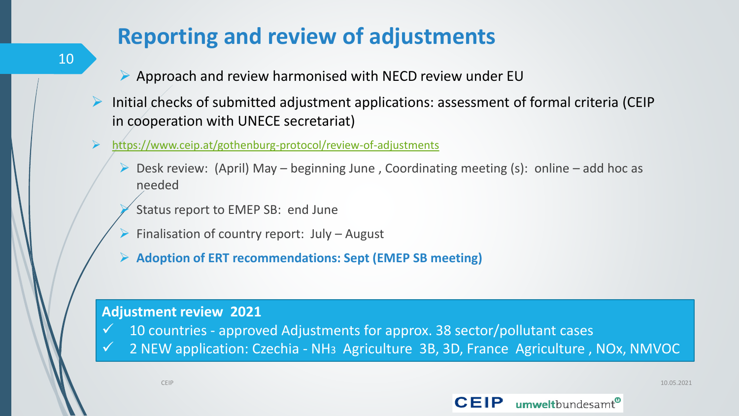## **Reporting and review of adjustments**

- ➢ Approach and review harmonised with NECD review under EU
- ➢ Initial checks of submitted adjustment applications: assessment of formal criteria (CEIP in cooperation with UNECE secretariat)
- ➢ <https://www.ceip.at/gothenburg-protocol/review-of-adjustments>
	- ➢ Desk review: (April) May beginning June , Coordinating meeting (s): online add hoc as needed
		- Status report to EMEP SB: end June
	- $\triangleright$  Finalisation of country report: July August
	- ➢ **Adoption of ERT recommendations: Sept (EMEP SB meeting)**

#### **Adjustment review 2021**

- 10 countries approved Adjustments for approx. 38 sector/pollutant cases
- 2 NEW application: Czechia NH<sub>3</sub> Agriculture 3B, 3D, France Agriculture, NOx, NMVOC

CEIP 10.05.2021

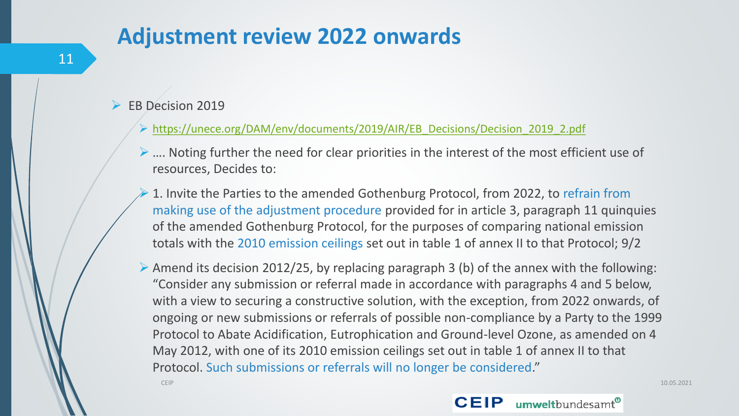### **Adjustment review 2022 onwards**

- ➢ EB Decision 2019
	- ➢ [https://unece.org/DAM/env/documents/2019/AIR/EB\\_Decisions/Decision\\_2019\\_2.pdf](https://unece.org/DAM/env/documents/2019/AIR/EB_Decisions/Decision_2019_2.pdf)
	- ➢ …. Noting further the need for clear priorities in the interest of the most efficient use of resources, Decides to:
	- ➢ 1. Invite the Parties to the amended Gothenburg Protocol, from 2022, to refrain from making use of the adjustment procedure provided for in article 3, paragraph 11 quinquies of the amended Gothenburg Protocol, for the purposes of comparing national emission totals with the 2010 emission ceilings set out in table 1 of annex II to that Protocol; 9/2
	- ➢ Amend its decision 2012/25, by replacing paragraph 3 (b) of the annex with the following: "Consider any submission or referral made in accordance with paragraphs 4 and 5 below, with a view to securing a constructive solution, with the exception, from 2022 onwards, of ongoing or new submissions or referrals of possible non-compliance by a Party to the 1999 Protocol to Abate Acidification, Eutrophication and Ground-level Ozone, as amended on 4 May 2012, with one of its 2010 emission ceilings set out in table 1 of annex II to that Protocol. Such submissions or referrals will no longer be considered."

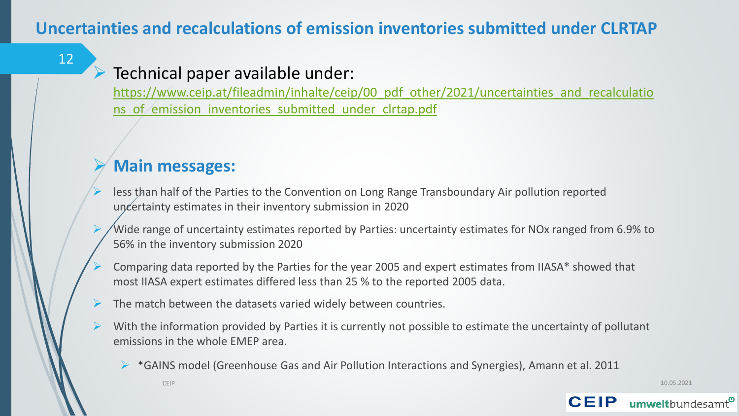#### **Uncertainties and recalculations of emission inventories submitted under CLRTAP**

#### 12

#### Technical paper available under:

[https://www.ceip.at/fileadmin/inhalte/ceip/00\\_pdf\\_other/2021/uncertainties\\_and\\_recalculatio](https://www.ceip.at/fileadmin/inhalte/ceip/00_pdf_other/2021/uncertainties_and_recalculations_of_emission_inventories_submitted_under_clrtap.pdf) ns of emission inventories submitted under clrtap.pdf

#### ➢ **Main messages:**

- less than half of the Parties to the Convention on Long Range Transboundary Air pollution reported uncertainty estimates in their inventory submission in 2020
- Wide range of uncertainty estimates reported by Parties: uncertainty estimates for NOx ranged from 6.9% to 56% in the inventory submission 2020
- ➢ Comparing data reported by the Parties for the year 2005 and expert estimates from IIASA\* showed that most IIASA expert estimates differed less than 25 % to the reported 2005 data.
- $\triangleright$  The match between the datasets varied widely between countries.
- $\triangleright$  With the information provided by Parties it is currently not possible to estimate the uncertainty of pollutant emissions in the whole EMEP area.
	- ➢ \*GAINS model (Greenhouse Gas and Air Pollution Interactions and Synergies), Amann et al. 2011

CEIP 10.05.2021

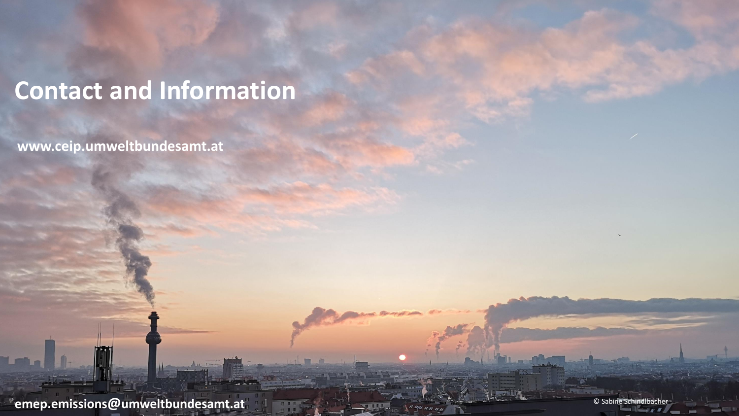## **Contact and Information**

**www.ceip.umweltbundesamt.at**

**emep.emissions@umweltbundesamt.at**

© Sabine Schindlbacher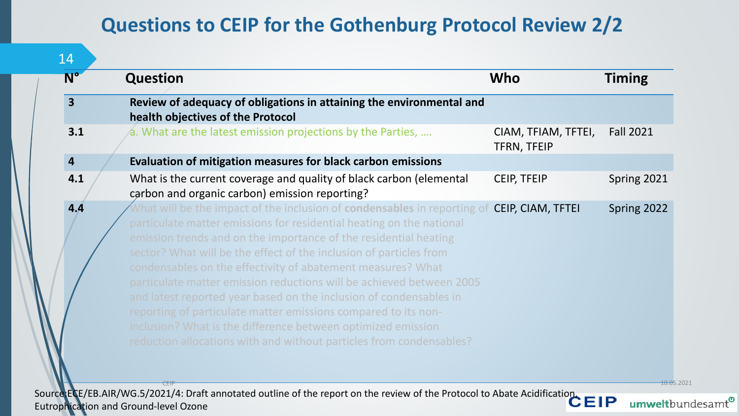#### **Questions to CEIP for the Gothenburg Protocol Review 2/2**

| $N^{\circ}$             | <b>Question</b>                                                                                                                                                                                                                                                                                                                                                                                                                                                                                                                                                                                                                                                                                                                                  | Who                                | <b>Timing</b>    |
|-------------------------|--------------------------------------------------------------------------------------------------------------------------------------------------------------------------------------------------------------------------------------------------------------------------------------------------------------------------------------------------------------------------------------------------------------------------------------------------------------------------------------------------------------------------------------------------------------------------------------------------------------------------------------------------------------------------------------------------------------------------------------------------|------------------------------------|------------------|
| $\overline{\mathbf{3}}$ | Review of adequacy of obligations in attaining the environmental and<br>health objectives of the Protocol                                                                                                                                                                                                                                                                                                                                                                                                                                                                                                                                                                                                                                        |                                    |                  |
| 3.1                     | $\alpha$ . What are the latest emission projections by the Parties,                                                                                                                                                                                                                                                                                                                                                                                                                                                                                                                                                                                                                                                                              | CIAM, TFIAM, TFTEI,<br>TFRN, TFEIP | <b>Fall 2021</b> |
| $\overline{4}$          | Evaluation of mitigation measures for black carbon emissions                                                                                                                                                                                                                                                                                                                                                                                                                                                                                                                                                                                                                                                                                     |                                    |                  |
| 4.1                     | What is the current coverage and quality of black carbon (elemental<br>carbon and organic carbon) emission reporting?                                                                                                                                                                                                                                                                                                                                                                                                                                                                                                                                                                                                                            | <b>CEIP, TFEIP</b>                 | Spring 2021      |
| 4.4                     | What will be the impact of the inclusion of <b>condensables</b> in reporting of <b>CEIP, CIAM, TFTEI</b><br>particulate matter emissions for residential heating on the national<br>emission trends and on the importance of the residential heating<br>sector? What will be the effect of the inclusion of particles from<br>condensables on the effectivity of abatement measures? What<br>particulate matter emission reductions will be achieved between 2005<br>and latest reported year based on the inclusion of condensables in<br>reporting of particulate matter emissions compared to its non-<br>inclusion? What is the difference between optimized emission<br>reduction allocations with and without particles from condensables? |                                    | Spring 2022      |

Source:ECE/EB.AIR/WG.5/2021/4: Draft annotated outline of the report on the review of the Protocol to Abate Acidification, Eutrophication and Ground-level Ozone

umweltbundesamt<sup>®</sup>